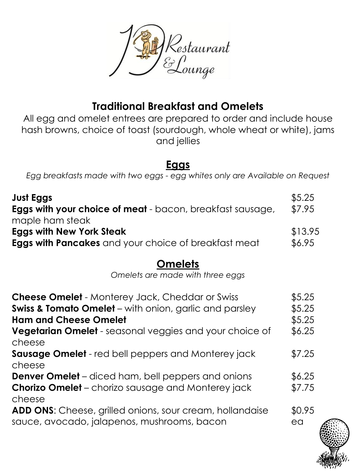

# **Traditional Breakfast and Omelets**

All egg and omelet entrees are prepared to order and include house hash browns, choice of toast (sourdough, whole wheat or white), jams and jellies

#### **Eggs**

*Egg breakfasts made with two eggs - egg whites only are Available on Request*

| Just Eggs<br><b>Eggs with your choice of meat</b> - bacon, breakfast sausage,<br>maple ham steak | \$5.25<br>\$7.95 |
|--------------------------------------------------------------------------------------------------|------------------|
| <b>Eggs with New York Steak</b>                                                                  | \$13.95          |
| <b>Eggs with Pancakes</b> and your choice of breakfast meat                                      | \$6.95           |

#### **Omelets**

*Omelets are made with three eggs*

| <b>Cheese Omelet</b> - Monterey Jack, Cheddar or Swiss<br><b>Swiss &amp; Tomato Omelet</b> – with onion, garlic and parsley<br><b>Ham and Cheese Omelet</b><br>Vegetarian Omelet - seasonal veggies and your choice of<br>cheese | \$5.25<br>\$5.25<br>\$5.25<br>\$6.25 |
|----------------------------------------------------------------------------------------------------------------------------------------------------------------------------------------------------------------------------------|--------------------------------------|
| <b>Sausage Omelet</b> - red bell peppers and Monterey jack<br>cheese                                                                                                                                                             | \$7.25                               |
| <b>Denver Omelet</b> – diced ham, bell peppers and onions<br><b>Chorizo Omelet</b> – chorizo sausage and Monterey jack<br>cheese                                                                                                 | \$6.25<br>\$7.75                     |
| <b>ADD ONS:</b> Cheese, grilled onions, sour cream, hollandaise<br>sauce, avocado, jalapenos, mushrooms, bacon                                                                                                                   | \$0.95<br>ea                         |